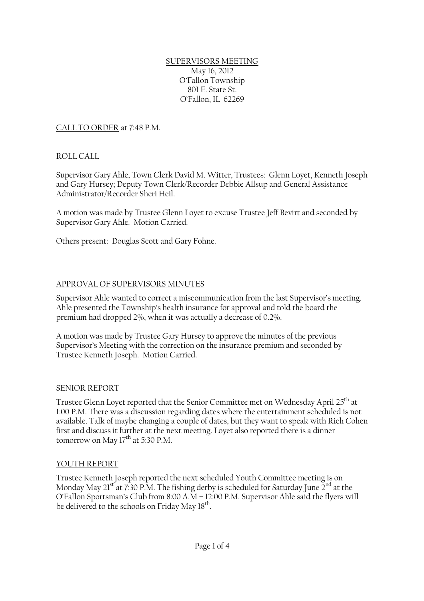### SUPERVISORS MEETING May 16, 2012 O'Fallon Township 801 E. State St. O'Fallon, IL 62269

## CALL TO ORDER at 7:48 P.M.

### ROLL CALL

Supervisor Gary Ahle, Town Clerk David M. Witter, Trustees: Glenn Loyet, Kenneth Joseph and Gary Hursey; Deputy Town Clerk/Recorder Debbie Allsup and General Assistance Administrator/Recorder Sheri Heil.

A motion was made by Trustee Glenn Loyet to excuse Trustee Jeff Bevirt and seconded by Supervisor Gary Ahle. Motion Carried.

Others present: Douglas Scott and Gary Fohne.

#### APPROVAL OF SUPERVISORS MINUTES

Supervisor Ahle wanted to correct a miscommunication from the last Supervisor's meeting. Ahle presented the Township's health insurance for approval and told the board the premium had dropped 2%, when it was actually a decrease of 0.2%.

A motion was made by Trustee Gary Hursey to approve the minutes of the previous Supervisor's Meeting with the correction on the insurance premium and seconded by Trustee Kenneth Joseph. Motion Carried.

#### SENIOR REPORT

Trustee Glenn Loyet reported that the Senior Committee met on Wednesday April 25<sup>th</sup> at 1:00 P.M. There was a discussion regarding dates where the entertainment scheduled is not available. Talk of maybe changing a couple of dates, but they want to speak with Rich Cohen first and discuss it further at the next meeting. Loyet also reported there is a dinner tomorrow on May  $17<sup>th</sup>$  at 5:30 P.M.

#### YOUTH REPORT

Trustee Kenneth Joseph reported the next scheduled Youth Committee meeting is on Monday May 21<sup>st</sup> at 7:30 P.M. The fishing derby is scheduled for Saturday June  $2<sup>nd</sup>$  at the O'Fallon Sportsman's Club from 8:00 A.M – 12:00 P.M. Supervisor Ahle said the flyers will be delivered to the schools on Friday May 18<sup>th</sup>.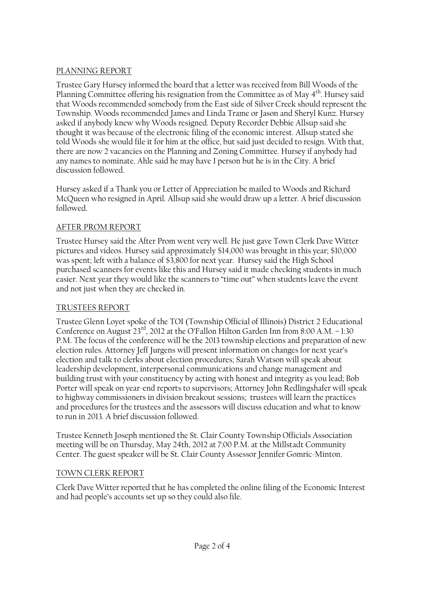# PLANNING REPORT

Trustee Gary Hursey informed the board that a letter was received from Bill Woods of the Planning Committee offering his resignation from the Committee as of May 4<sup>th</sup>. Hursey said that Woods recommended somebody from the East side of Silver Creek should represent the Township. Woods recommended James and Linda Trame or Jason and Sheryl Kunz. Hursey asked if anybody knew why Woods resigned. Deputy Recorder Debbie Allsup said she thought it was because of the electronic filing of the economic interest. Allsup stated she told Woods she would file it for him at the office, but said just decided to resign. With that, there are now 2 vacancies on the Planning and Zoning Committee. Hursey if anybody had any names to nominate. Ahle said he may have 1 person but he is in the City. A brief discussion followed.

Hursey asked if a Thank you or Letter of Appreciation be mailed to Woods and Richard McQueen who resigned in April. Allsup said she would draw up a letter. A brief discussion followed.

# AFTER PROM REPORT

Trustee Hursey said the After Prom went very well. He just gave Town Clerk Dave Witter pictures and videos. Hursey said approximately \$14,000 was brought in this year; \$10,000 was spent; left with a balance of \$3,800 for next year. Hursey said the High School purchased scanners for events like this and Hursey said it made checking students in much easier. Next year they would like the scanners to "time out" when students leave the event and not just when they are checked in.

# TRUSTEES REPORT

Trustee Glenn Loyet spoke of the TOI (Township Official of Illinois) District 2 Educational Conference on August 23<sup>rd</sup>, 2012 at the O'Fallon Hilton Garden Inn from 8:00 A.M. - 1:30 P.M. The focus of the conference will be the 2013 township elections and preparation of new election rules. Attorney Jeff Jurgens will present information on changes for next year's election and talk to clerks about election procedures; Sarah Watson will speak about leadership development, interpersonal communications and change management and building trust with your constituency by acting with honest and integrity as you lead; Bob Porter will speak on year-end reports to supervisors; Attorney John Redlingshafer will speak to highway commissioners in division breakout sessions; trustees will learn the practices and procedures for the trustees and the assessors will discuss education and what to know to run in 2013. A brief discussion followed.

Trustee Kenneth Joseph mentioned the St. Clair County Township Officials Association meeting will be on Thursday, May 24th, 2012 at 7:00 P.M. at the Millstadt Community Center. The guest speaker will be St. Clair County Assessor Jennifer Gomric-Minton.

# TOWN CLERK REPORT

Clerk Dave Witter reported that he has completed the online filing of the Economic Interest and had people's accounts set up so they could also file.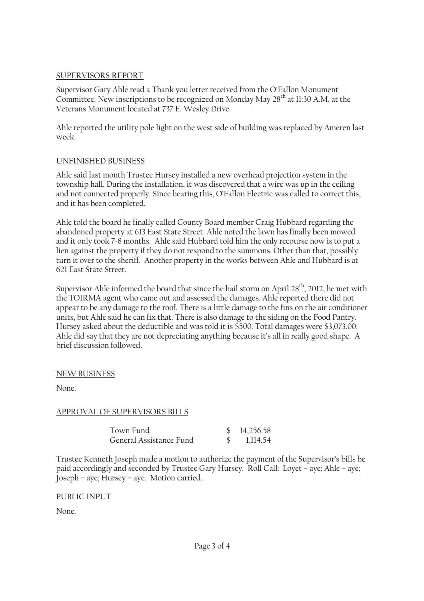### SUPERVISORS REPORT

Supervisor Gary Ahle read a Thank you letter received from the O'Fallon Monument Committee. New inscriptions to be recognized on Monday May  $28<sup>th</sup>$  at 11:30 A.M. at the Veterans Monument located at 737 E. Wesley Drive.

Ahle reported the utility pole light on the west side of building was replaced by Ameren last week.

### UNFINISHED BUSINESS

Ahle said last month Trustee Hursey installed a new overhead projection system in the township hall. During the installation, it was discovered that a wire was up in the ceiling and not connected properly. Since hearing this, O'Fallon Electric was called to correct this, and it has been completed.

Ahle told the board he finally called County Board member Craig Hubbard regarding the abandoned property at 613 East State Street. Ahle noted the lawn has finally been mowed and it only took 7-8 months. Ahle said Hubbard told him the only recourse now is to put a lien against the property if they do not respond to the summons. Other than that, possibly turn it over to the sheriff. Another property in the works between Ahle and Hubbard is at 621 East State Street.

Supervisor Ahle informed the board that since the hail storm on April  $28<sup>th</sup>$ , 2012, he met with the TOIRMA agent who came out and assessed the damages. Ahle reported there did not appear to be any damage to the roof. There is a little damage to the fins on the air conditioner units, but Ahle said he can fix that. There is also damage to the siding on the Food Pantry. Hursey asked about the deductible and was told it is \$500. Total damages were \$3,073.00. Ahle did say that they are not depreciating anything because it's all in really good shape. A brief discussion followed.

## NEW BUSINESS

None.

## APPROVAL OF SUPERVISORS BILLS

| Town Fund               | \$14,256.58 |
|-------------------------|-------------|
| General Assistance Fund | 1,114.54    |

Trustee Kenneth Joseph made a motion to authorize the payment of the Supervisor's bills be paid accordingly and seconded by Trustee Gary Hursey. Roll Call: Loyet – aye; Ahle – aye; Joseph – aye; Hursey – aye. Motion carried.

#### PUBLIC INPUT

None.